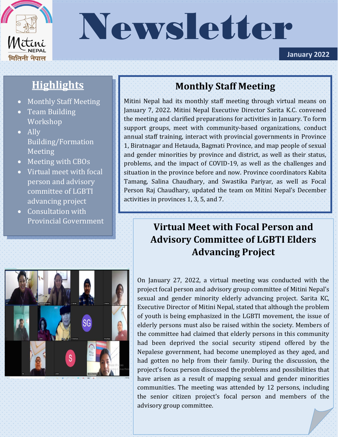

# Newsletter

**January 2022**

## **Highlights**

- Monthly Staff Meeting
- Team Building **Workshop**
- Ally Building/Formation **Meeting**
- Meeting with CBOs
- Virtual meet with focal person and advisory committee of LGBTI advancing project
- Consultation with Provincial Government

## **Monthly Staff Meeting**

Mitini Nepal had its monthly staff meeting through virtual means on January 7, 2022. Mitini Nepal Executive Director Sarita K.C. convened the meeting and clarified preparations for activities in January. To form support groups, meet with community-based organizations, conduct annual staff training, interact with provincial governments in Province 1, Biratnagar and Hetauda, Bagmati Province, and map people of sexual and gender minorities by province and district, as well as their status, problems, and the impact of COVID-19, as well as the challenges and situation in the province before and now. Province coordinators Kabita Tamang, Salina Chaudhary, and Swastika Pariyar, as well as Focal Person Raj Chaudhary, updated the team on Mitini Nepal's December activities in provinces 1, 3, 5, and 7.

## **Virtual Meet with Focal Person and Advisory Committee of LGBTI Elders Advancing Project**



On January 27, 2022, a virtual meeting was conducted with the project focal person and advisory group committee of Mitini Nepal's sexual and gender minority elderly advancing project. Sarita KC, Executive Director of Mitini Nepal, stated that although the problem of youth is being emphasized in the LGBTI movement, the issue of elderly persons must also be raised within the society. Members of the committee had claimed that elderly persons in this community had been deprived the social security stipend offered by the Nepalese government, had become unemployed as they aged, and had gotten no help from their family. During the discussion, the project's focus person discussed the problems and possibilities that have arisen as a result of mapping sexual and gender minorities communities. The meeting was attended by 12 persons, including the senior citizen project's focal person and members of the advisory group committee.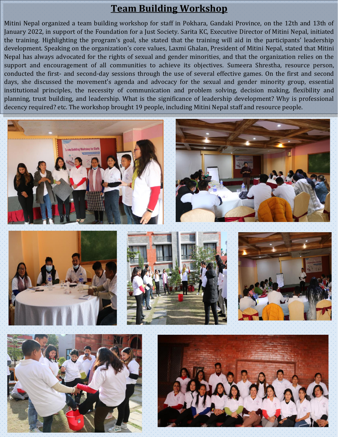### **Team Building Workshop**

Mitini Nepal organized a team building workshop for staff in Pokhara, Gandaki Province, on the 12th and 13th of January 2022, in support of the Foundation for a Just Society. Sarita KC, Executive Director of Mitini Nepal, initiated the training. Highlighting the program's goal, she stated that the training will aid in the participants' leadership development. Speaking on the organization's core values, Laxmi Ghalan, President of Mitini Nepal, stated that Mitini Nepal has always advocated for the rights of sexual and gender minorities, and that the organization relies on the support and encouragement of all communities to achieve its objectives. Sumeera Shrestha, resource person, conducted the first- and second-day sessions through the use of several effective games. On the first and second days, she discussed the movement's agenda and advocacy for the sexual and gender minority group, essential institutional principles, the necessity of communication and problem solving, decision making, flexibility and planning, trust building, and leadership. What is the significance of leadership development? Why is professional decency required? etc. The workshop brought 19 people, including Mitini Nepal staff and resource people.





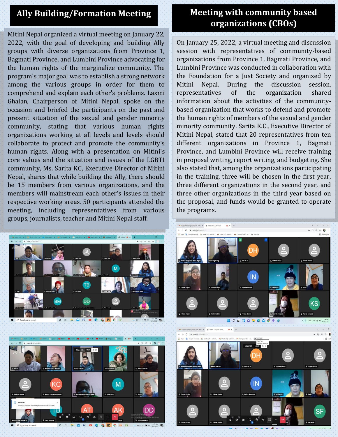#### **Ally Building/Formation Meeting**

Mitini Nepal organized a virtual meeting on January 22, 2022, with the goal of developing and building Ally groups with diverse organizations from Province 1, Bagmati Province, and Lumbini Province advocating for the human rights of the marginalize community. The program's major goal was to establish a strong network among the various groups in order for them to comprehend and explain each other's problems. Laxmi Ghalan, Chairperson of Mitini Nepal, spoke on the occasion and briefed the participants on the past and present situation of the sexual and gender minority community, stating that various human rights organizations working at all levels and levels should collaborate to protect and promote the community's human rights. Along with a presentation on Mitini's core values and the situation and issues of the LGBTI community, Ms. Sarita KC, Executive Director of Mitini Nepal, shares that while building the Ally, there should be 15 members from various organizations, and the members will mainstream each other's issues in their respective working areas. 50 participants attended the meeting, including representatives from various groups, journalists, teacher and Mitini Nepal staff.





#### **Meeting with community based organizations (CBOs)**

On January 25, 2022, a virtual meeting and discussion session with representatives of community-based organizations from Province 1, Bagmati Province, and Lumbini Province was conducted in collaboration with the Foundation for a Just Society and organized by Mitini Nepal. During the discussion session, representatives of the organization shared information about the activities of the communitybased organization that works to defend and promote the human rights of members of the sexual and gender minority community. Sarita K.C., Executive Director of Mitini Nepal, stated that 20 representatives from ten different organizations in Province 1, Bagmati Province, and Lumbini Province will receive training in proposal writing, report writing, and budgeting. She also stated that, among the organizations participating in the training, three will be chosen in the first year, three different organizations in the second year, and three other organizations in the third year based on the proposal, and funds would be granted to operate the programs.